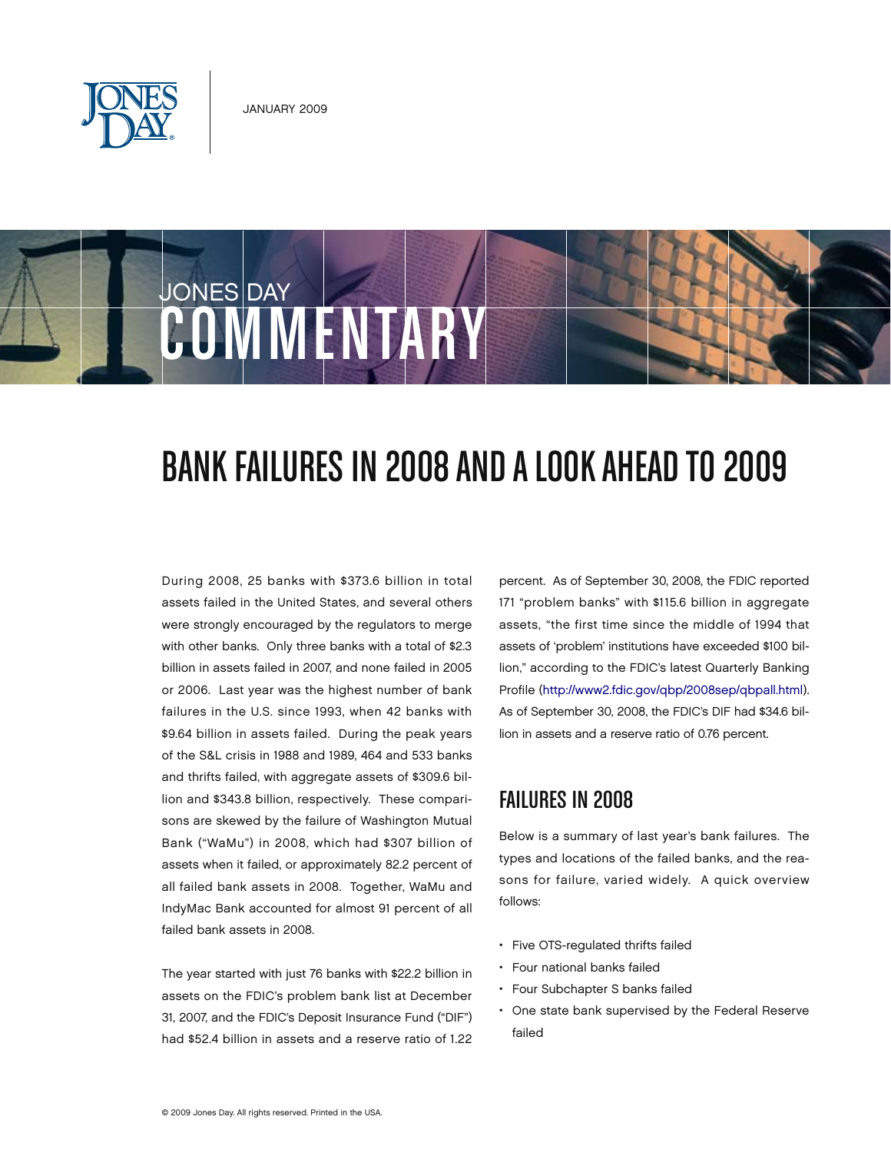

# JONES DAY COMMENTARY

## BANK FAILURES IN 2008 AND A LOOK AHEAD TO 2009

During 2008, 25 banks with \$373.6 billion in total assets failed in the United States, and several others were strongly encouraged by the regulators to merge with other banks. Only three banks with a total of \$2.3 billion in assets failed in 2007, and none failed in 2005 or 2006. Last year was the highest number of bank failures in the U.S. since 1993, when 42 banks with \$9.64 billion in assets failed. During the peak years of the S&L crisis in 1988 and 1989, 464 and 533 banks and thrifts failed, with aggregate assets of \$309.6 billion and \$343.8 billion, respectively. These comparisons are skewed by the failure of Washington Mutual Bank ("WaMu") in 2008, which had \$307 billion of assets when it failed, or approximately 82.2 percent of all failed bank assets in 2008. Together, WaMu and IndyMac Bank accounted for almost 91 percent of all failed bank assets in 2008.

The year started with just 76 banks with \$22.2 billion in assets on the FDIC's problem bank list at December 31, 2007, and the FDIC's Deposit Insurance Fund ("DIF") had \$52.4 billion in assets and a reserve ratio of 1.22

percent. As of September 30, 2008, the FDIC reported 171 "problem banks" with \$115.6 billion in aggregate assets, "the first time since the middle of 1994 that assets of 'problem' institutions have exceeded \$100 billion," according to the FDIC's latest Quarterly Banking Profile [\(http://www2.fdic.gov/qbp/2008sep/qbpall.html\).](http://www2.fdic.gov/qbp/2008sep/qbpall.html)  As of September 30, 2008, the FDIC's DIF had \$34.6 billion in assets and a reserve ratio of 0.76 percent.

#### Failures in 2008

Below is a summary of last year's bank failures. The types and locations of the failed banks, and the reasons for failure, varied widely. A quick overview follows:

- Five OTS-regulated thrifts failed
- • Four national banks failed
- • Four Subchapter S banks failed
- One state bank supervised by the Federal Reserve failed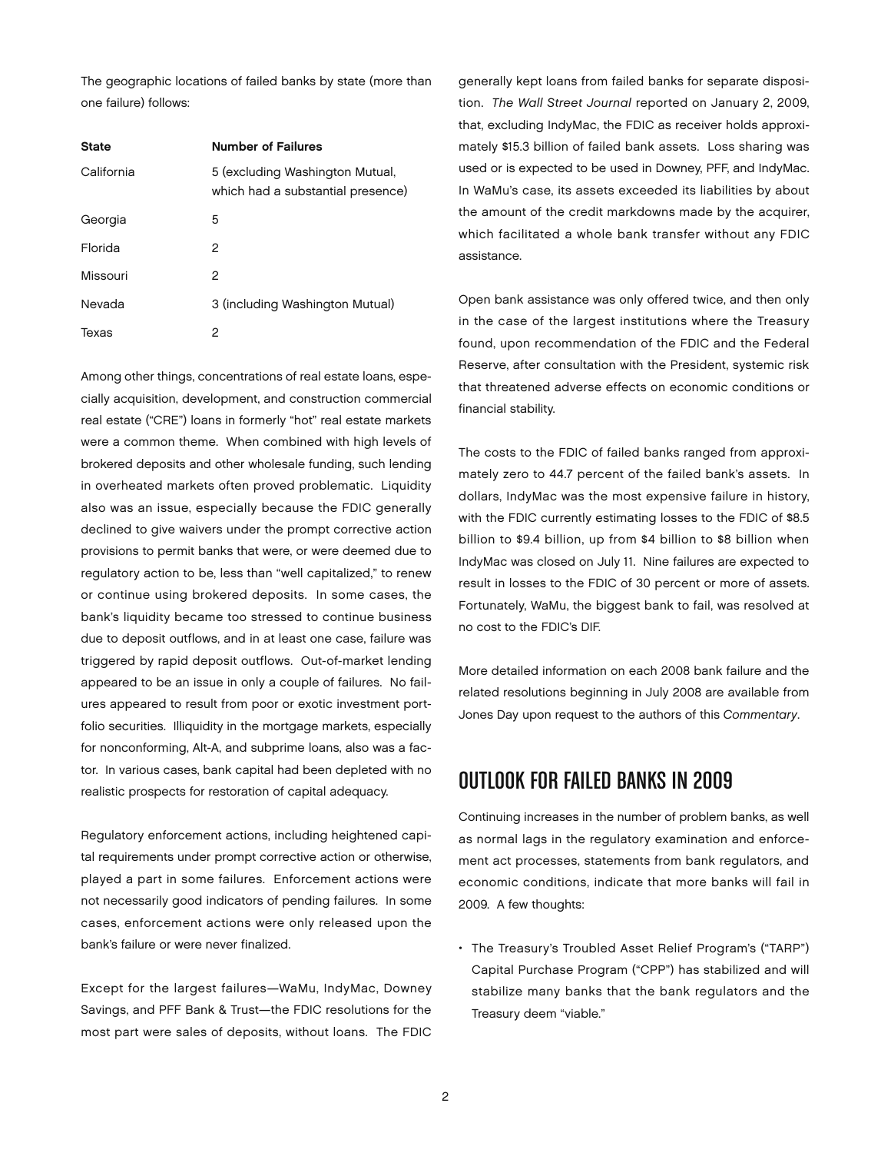The geographic locations of failed banks by state (more than one failure) follows:

| <b>State</b> | <b>Number of Failures</b>                                            |
|--------------|----------------------------------------------------------------------|
| California   | 5 (excluding Washington Mutual,<br>which had a substantial presence) |
| Georgia      | 5                                                                    |
| Florida      | 2                                                                    |
| Missouri     | 2                                                                    |
| Nevada       | 3 (including Washington Mutual)                                      |
| Texas        | 2                                                                    |

Among other things, concentrations of real estate loans, especially acquisition, development, and construction commercial real estate ("CRE") loans in formerly "hot" real estate markets were a common theme. When combined with high levels of brokered deposits and other wholesale funding, such lending in overheated markets often proved problematic. Liquidity also was an issue, especially because the FDIC generally declined to give waivers under the prompt corrective action provisions to permit banks that were, or were deemed due to regulatory action to be, less than "well capitalized," to renew or continue using brokered deposits. In some cases, the bank's liquidity became too stressed to continue business due to deposit outflows, and in at least one case, failure was triggered by rapid deposit outflows. Out-of-market lending appeared to be an issue in only a couple of failures. No failures appeared to result from poor or exotic investment portfolio securities. Illiquidity in the mortgage markets, especially for nonconforming, Alt-A, and subprime loans, also was a factor. In various cases, bank capital had been depleted with no realistic prospects for restoration of capital adequacy.

Regulatory enforcement actions, including heightened capital requirements under prompt corrective action or otherwise, played a part in some failures. Enforcement actions were not necessarily good indicators of pending failures. In some cases, enforcement actions were only released upon the bank's failure or were never finalized.

Except for the largest failures—WaMu, IndyMac, Downey Savings, and PFF Bank & Trust—the FDIC resolutions for the most part were sales of deposits, without loans. The FDIC

generally kept loans from failed banks for separate disposition. *The Wall Street Journal* reported on January 2, 2009, that, excluding IndyMac, the FDIC as receiver holds approximately \$15.3 billion of failed bank assets. Loss sharing was used or is expected to be used in Downey, PFF, and IndyMac. In WaMu's case, its assets exceeded its liabilities by about the amount of the credit markdowns made by the acquirer, which facilitated a whole bank transfer without any FDIC assistance.

Open bank assistance was only offered twice, and then only in the case of the largest institutions where the Treasury found, upon recommendation of the FDIC and the Federal Reserve, after consultation with the President, systemic risk that threatened adverse effects on economic conditions or financial stability.

The costs to the FDIC of failed banks ranged from approximately zero to 44.7 percent of the failed bank's assets. In dollars, IndyMac was the most expensive failure in history, with the FDIC currently estimating losses to the FDIC of \$8.5 billion to \$9.4 billion, up from \$4 billion to \$8 billion when IndyMac was closed on July 11. Nine failures are expected to result in losses to the FDIC of 30 percent or more of assets. Fortunately, WaMu, the biggest bank to fail, was resolved at no cost to the FDIC's DIF.

More detailed information on each 2008 bank failure and the related resolutions beginning in July 2008 are available from Jones Day upon request to the authors of this *Commentary*.

### Outlook for Failed Banks in 2009

Continuing increases in the number of problem banks, as well as normal lags in the regulatory examination and enforcement act processes, statements from bank regulators, and economic conditions, indicate that more banks will fail in 2009. A few thoughts:

• The Treasury's Troubled Asset Relief Program's ("TARP") Capital Purchase Program ("CPP") has stabilized and will stabilize many banks that the bank regulators and the Treasury deem "viable."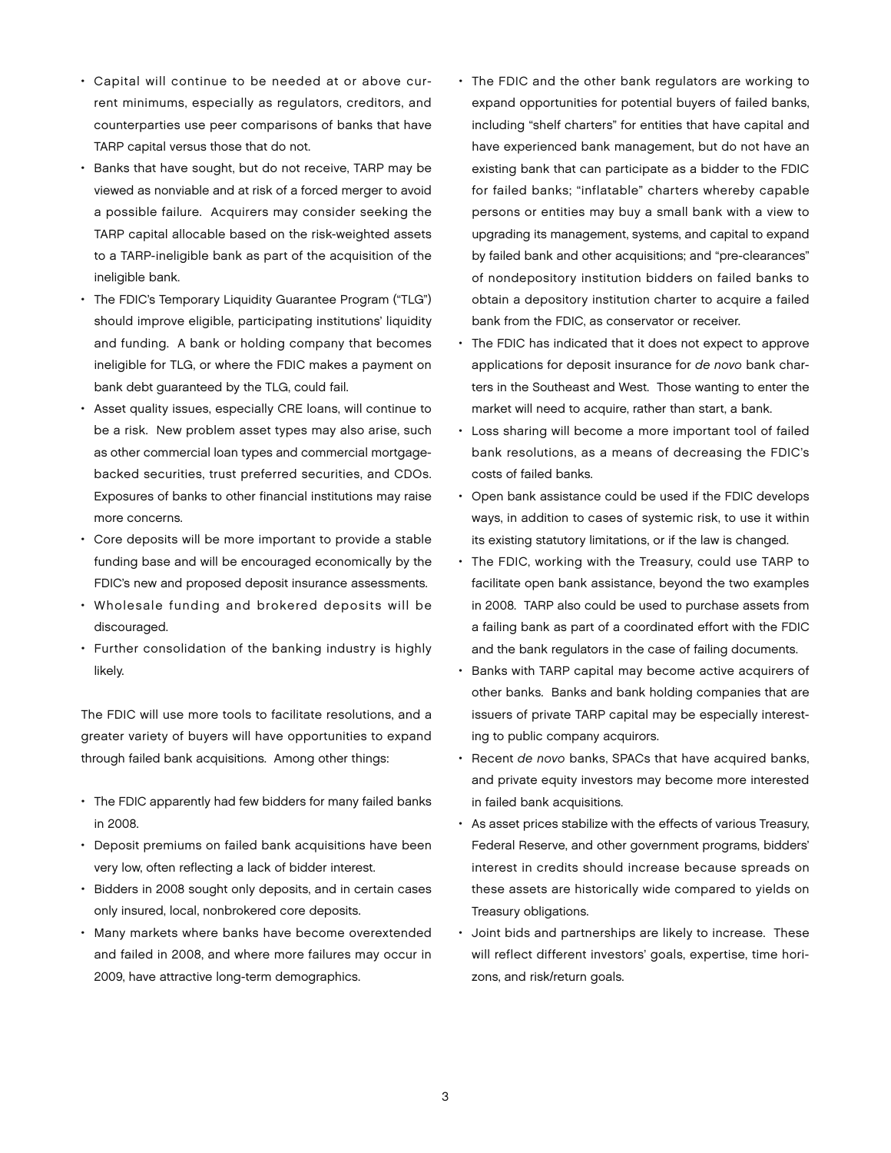- • Capital will continue to be needed at or above current minimums, especially as regulators, creditors, and counterparties use peer comparisons of banks that have TARP capital versus those that do not.
- Banks that have sought, but do not receive, TARP may be viewed as nonviable and at risk of a forced merger to avoid a possible failure. Acquirers may consider seeking the TARP capital allocable based on the risk-weighted assets to a TARP-ineligible bank as part of the acquisition of the ineligible bank.
- The FDIC's Temporary Liquidity Guarantee Program ("TLG") should improve eligible, participating institutions' liquidity and funding. A bank or holding company that becomes ineligible for TLG, or where the FDIC makes a payment on bank debt guaranteed by the TLG, could fail.
- • Asset quality issues, especially CRE loans, will continue to be a risk. New problem asset types may also arise, such as other commercial loan types and commercial mortgagebacked securities, trust preferred securities, and CDOs. Exposures of banks to other financial institutions may raise more concerns.
- Core deposits will be more important to provide a stable funding base and will be encouraged economically by the FDIC's new and proposed deposit insurance assessments.
- Wholesale funding and brokered deposits will be discouraged.
- • Further consolidation of the banking industry is highly likely.

The FDIC will use more tools to facilitate resolutions, and a greater variety of buyers will have opportunities to expand through failed bank acquisitions. Among other things:

- The FDIC apparently had few bidders for many failed banks in 2008.
- • Deposit premiums on failed bank acquisitions have been very low, often reflecting a lack of bidder interest.
- • Bidders in 2008 sought only deposits, and in certain cases only insured, local, nonbrokered core deposits.
- Many markets where banks have become overextended and failed in 2008, and where more failures may occur in 2009, have attractive long-term demographics.
- The FDIC and the other bank regulators are working to expand opportunities for potential buyers of failed banks, including "shelf charters" for entities that have capital and have experienced bank management, but do not have an existing bank that can participate as a bidder to the FDIC for failed banks; "inflatable" charters whereby capable persons or entities may buy a small bank with a view to upgrading its management, systems, and capital to expand by failed bank and other acquisitions; and "pre-clearances" of nondepository institution bidders on failed banks to obtain a depository institution charter to acquire a failed bank from the FDIC, as conservator or receiver.
- The FDIC has indicated that it does not expect to approve applications for deposit insurance for *de novo* bank charters in the Southeast and West. Those wanting to enter the market will need to acquire, rather than start, a bank.
- • Loss sharing will become a more important tool of failed bank resolutions, as a means of decreasing the FDIC's costs of failed banks.
- • Open bank assistance could be used if the FDIC develops ways, in addition to cases of systemic risk, to use it within its existing statutory limitations, or if the law is changed.
- The FDIC, working with the Treasury, could use TARP to facilitate open bank assistance, beyond the two examples in 2008. TARP also could be used to purchase assets from a failing bank as part of a coordinated effort with the FDIC and the bank regulators in the case of failing documents.
- • Banks with TARP capital may become active acquirers of other banks. Banks and bank holding companies that are issuers of private TARP capital may be especially interesting to public company acquirors.
- • Recent *de novo* banks, SPACs that have acquired banks, and private equity investors may become more interested in failed bank acquisitions.
- • As asset prices stabilize with the effects of various Treasury, Federal Reserve, and other government programs, bidders' interest in credits should increase because spreads on these assets are historically wide compared to yields on Treasury obligations.
- Joint bids and partnerships are likely to increase. These will reflect different investors' goals, expertise, time horizons, and risk/return goals.